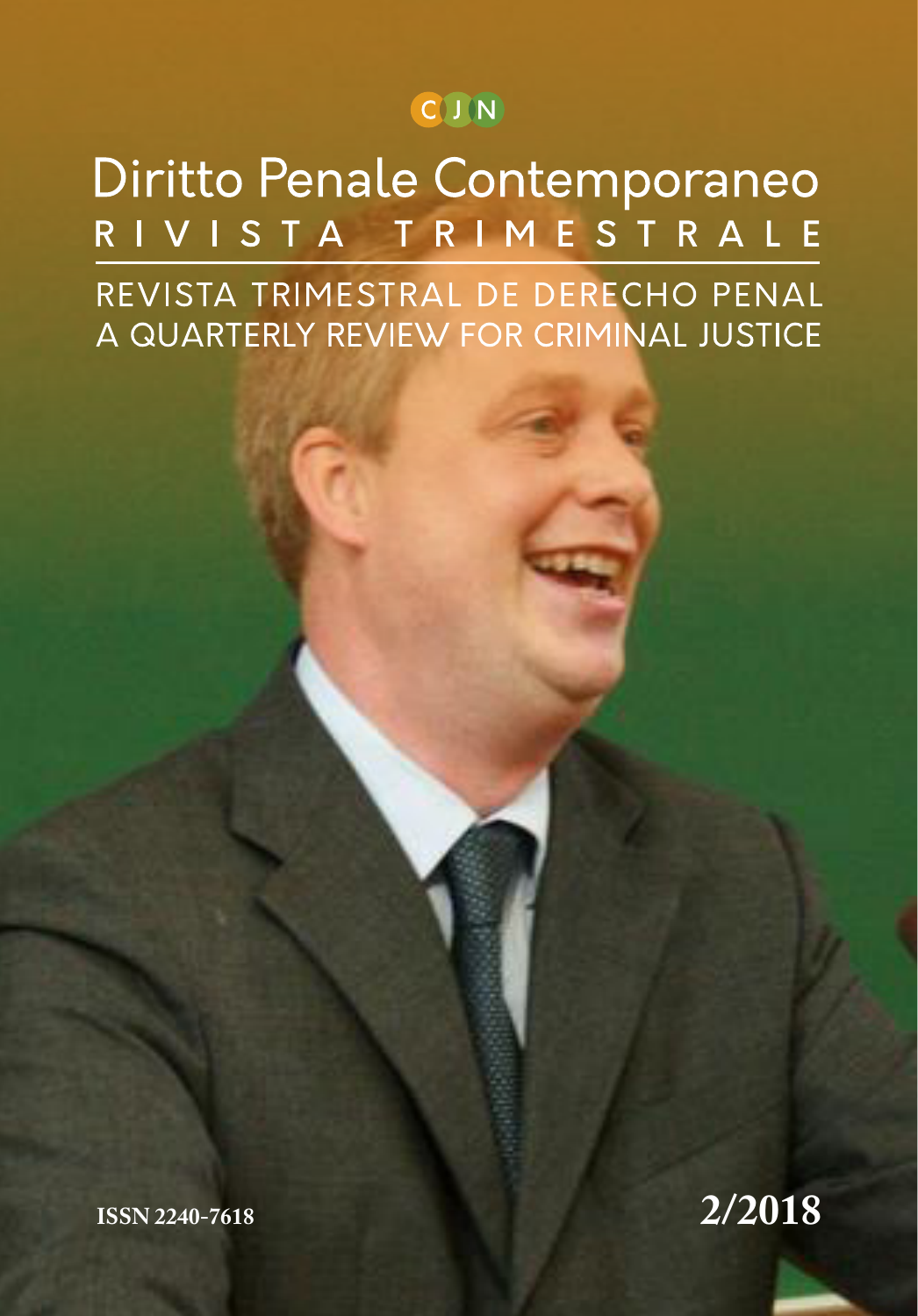## CIN

Diritto Penale Contemporaneo RIVISTA TRIMESTRALE REVISTA TRIMESTRAL DE DERECHO PENAL A QUARTERLY REVIEW FOR CRIMINAL JUSTICE

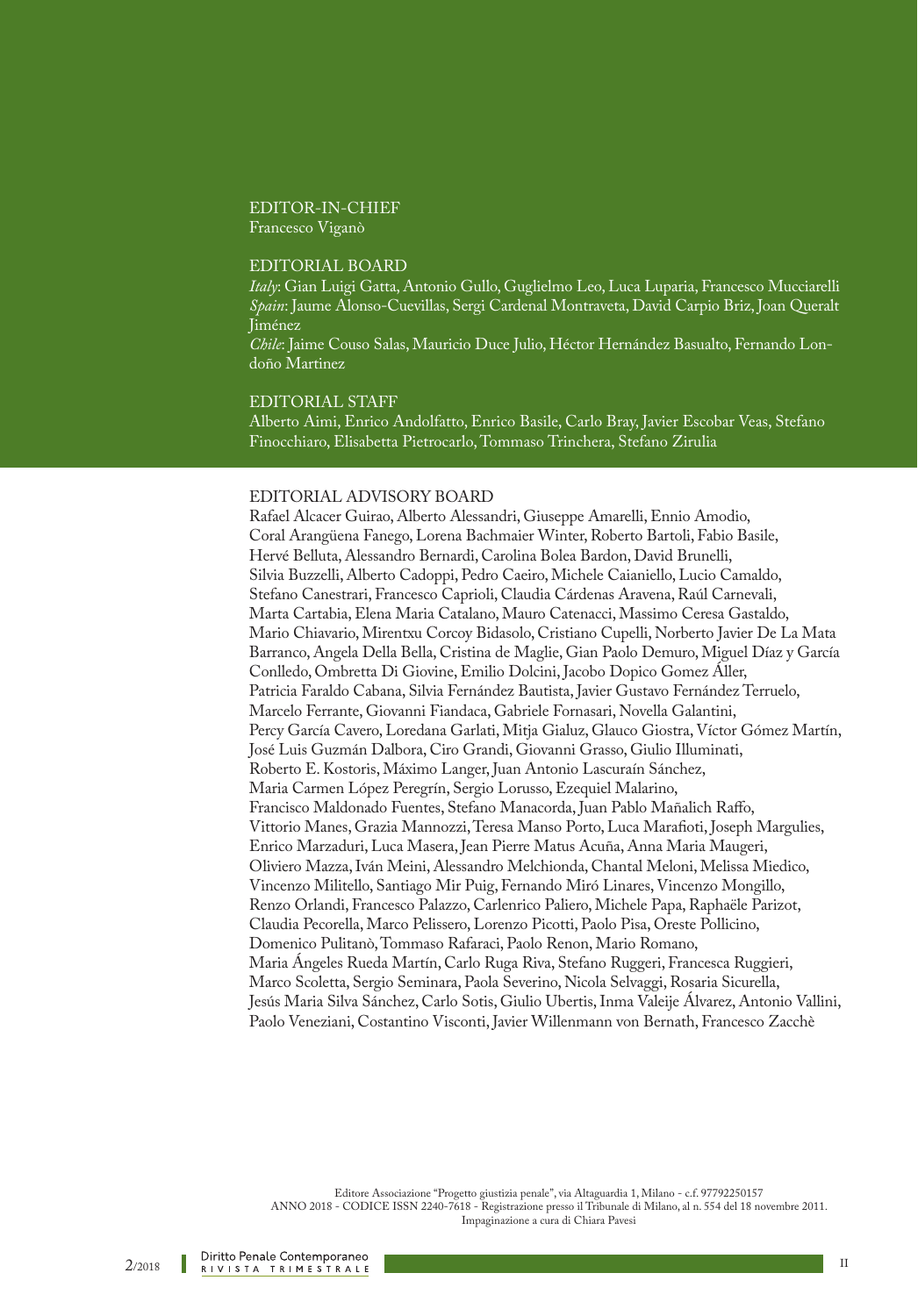#### EDITOR-IN-CHIEF Francesco Viganò

#### EDITORIAL BOARD

*Italy*: Gian Luigi Gatta, Antonio Gullo, Guglielmo Leo, Luca Luparia, Francesco Mucciarelli *Spain*: Jaume Alonso-Cuevillas, Sergi Cardenal Montraveta, David Carpio Briz, Joan Queralt Jiménez

*Chile*: Jaime Couso Salas, Mauricio Duce Julio, Héctor Hernández Basualto, Fernando Londoño Martinez

#### EDITORIAL STAFF

Alberto Aimi, Enrico Andolfatto, Enrico Basile, Carlo Bray, Javier Escobar Veas, Stefano Finocchiaro, Elisabetta Pietrocarlo, Tommaso Trinchera, Stefano Zirulia

#### EDITORIAL ADVISORY BOARD

Rafael Alcacer Guirao, Alberto Alessandri, Giuseppe Amarelli, Ennio Amodio, Coral Arangüena Fanego, Lorena Bachmaier Winter, Roberto Bartoli, Fabio Basile, Hervé Belluta, Alessandro Bernardi, Carolina Bolea Bardon, David Brunelli, Silvia Buzzelli, Alberto Cadoppi, Pedro Caeiro, Michele Caianiello, Lucio Camaldo, Stefano Canestrari, Francesco Caprioli, Claudia Cárdenas Aravena, Raúl Carnevali, Marta Cartabia, Elena Maria Catalano, Mauro Catenacci, Massimo Ceresa Gastaldo, Mario Chiavario, Mirentxu Corcoy Bidasolo, Cristiano Cupelli, Norberto Javier De La Mata Barranco, Angela Della Bella, Cristina de Maglie, Gian Paolo Demuro, Miguel Díaz y García Conlledo, Ombretta Di Giovine, Emilio Dolcini, Jacobo Dopico Gomez Áller, Patricia Faraldo Cabana, Silvia Fernández Bautista, Javier Gustavo Fernández Terruelo, Marcelo Ferrante, Giovanni Fiandaca, Gabriele Fornasari, Novella Galantini, Percy García Cavero, Loredana Garlati, Mitja Gialuz, Glauco Giostra, Víctor Gómez Martín, José Luis Guzmán Dalbora, Ciro Grandi, Giovanni Grasso, Giulio Illuminati, Roberto E. Kostoris, Máximo Langer, Juan Antonio Lascuraín Sánchez, Maria Carmen López Peregrín, Sergio Lorusso, Ezequiel Malarino, Francisco Maldonado Fuentes, Stefano Manacorda, Juan Pablo Mañalich Raffo, Vittorio Manes, Grazia Mannozzi, Teresa Manso Porto, Luca Marafioti, Joseph Margulies, Enrico Marzaduri, Luca Masera, Jean Pierre Matus Acuña, Anna Maria Maugeri, Oliviero Mazza, Iván Meini, Alessandro Melchionda, Chantal Meloni, Melissa Miedico, Vincenzo Militello, Santiago Mir Puig, Fernando Miró Linares, Vincenzo Mongillo, Renzo Orlandi, Francesco Palazzo, Carlenrico Paliero, Michele Papa, Raphaële Parizot, Claudia Pecorella, Marco Pelissero, Lorenzo Picotti, Paolo Pisa, Oreste Pollicino, Domenico Pulitanò, Tommaso Rafaraci, Paolo Renon, Mario Romano, Maria Ángeles Rueda Martín, Carlo Ruga Riva, Stefano Ruggeri, Francesca Ruggieri, Marco Scoletta, Sergio Seminara, Paola Severino, Nicola Selvaggi, Rosaria Sicurella, Jesús Maria Silva Sánchez, Carlo Sotis, Giulio Ubertis, Inma Valeije Álvarez, Antonio Vallini, Paolo Veneziani, Costantino Visconti, Javier Willenmann von Bernath, Francesco Zacchè

Editore Associazione "Progetto giustizia penale", via Altaguardia 1, Milano - c.f. 97792250157 ANNO 2018 - CODICE ISSN 2240-7618 - Registrazione presso il Tribunale di Milano, al n. 554 del 18 novembre 2011. Impaginazione a cura di Chiara Pavesi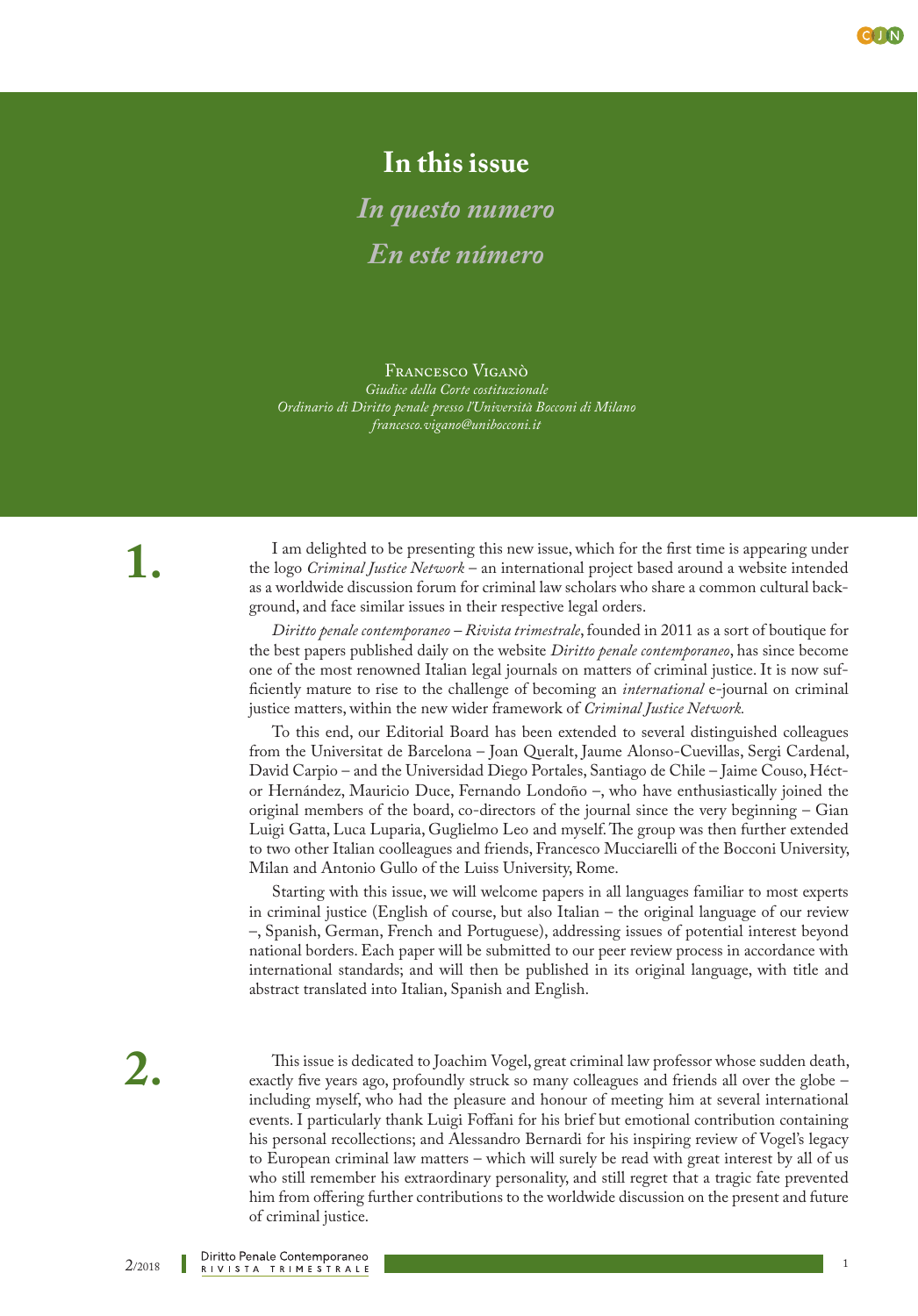

## **In this issue**

*In questo numero En este número*

Francesco Viganò *Giudice della Corte costituzionale Ordinario di Diritto penale presso l'Università Bocconi di Milano francesco.vigano@unibocconi.it*

**1.**

I am delighted to be presenting this new issue, which for the first time is appearing under the logo *Criminal Justice Network* – an international project based around a website intended as a worldwide discussion forum for criminal law scholars who share a common cultural background, and face similar issues in their respective legal orders.

*Diritto penale contemporaneo – Rivista trimestrale*, founded in 2011 as a sort of boutique for the best papers published daily on the website *Diritto penale contemporaneo*, has since become one of the most renowned Italian legal journals on matters of criminal justice. It is now sufficiently mature to rise to the challenge of becoming an *international* e-journal on criminal justice matters, within the new wider framework of *Criminal Justice Network.*

To this end, our Editorial Board has been extended to several distinguished colleagues from the Universitat de Barcelona – Joan Queralt, Jaume Alonso-Cuevillas, Sergi Cardenal, David Carpio – and the Universidad Diego Portales, Santiago de Chile – Jaime Couso, Héctor Hernández, Mauricio Duce, Fernando Londoño –, who have enthusiastically joined the original members of the board, co-directors of the journal since the very beginning – Gian Luigi Gatta, Luca Luparia, Guglielmo Leo and myself. The group was then further extended to two other Italian coolleagues and friends, Francesco Mucciarelli of the Bocconi University, Milan and Antonio Gullo of the Luiss University, Rome.

Starting with this issue, we will welcome papers in all languages familiar to most experts in criminal justice (English of course, but also Italian – the original language of our review –, Spanish, German, French and Portuguese), addressing issues of potential interest beyond national borders. Each paper will be submitted to our peer review process in accordance with international standards; and will then be published in its original language, with title and abstract translated into Italian, Spanish and English.

This issue is dedicated to Joachim Vogel, great criminal law professor whose sudden death, exactly five years ago, profoundly struck so many colleagues and friends all over the globe – including myself, who had the pleasure and honour of meeting him at several international events. I particularly thank Luigi Foffani for his brief but emotional contribution containing his personal recollections; and Alessandro Bernardi for his inspiring review of Vogel's legacy to European criminal law matters – which will surely be read with great interest by all of us who still remember his extraordinary personality, and still regret that a tragic fate prevented him from offering further contributions to the worldwide discussion on the present and future of criminal justice.